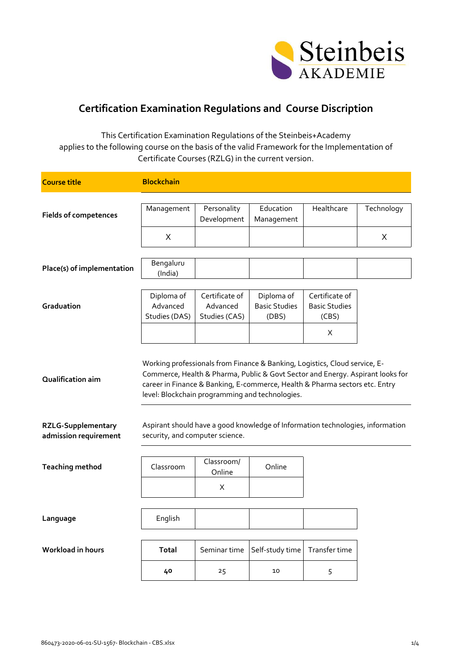

## **Certification Examination Regulations and Course Discription**

This Certification Examination Regulations of the Steinbeis+Academy applies to the following course on the basis of the valid Framework for the Implementation of Certificate Courses (RZLG) in the current version.

| <b>Course title</b>                                | <b>Blockchain</b>                                                                                                                                                                                                                                                                              |                            |                                                                                |                                        |            |
|----------------------------------------------------|------------------------------------------------------------------------------------------------------------------------------------------------------------------------------------------------------------------------------------------------------------------------------------------------|----------------------------|--------------------------------------------------------------------------------|----------------------------------------|------------|
|                                                    |                                                                                                                                                                                                                                                                                                |                            |                                                                                |                                        |            |
| <b>Fields of competences</b>                       | Management                                                                                                                                                                                                                                                                                     | Personality<br>Development | Education<br>Management                                                        | Healthcare                             | Technology |
|                                                    | X                                                                                                                                                                                                                                                                                              |                            |                                                                                |                                        | X          |
|                                                    |                                                                                                                                                                                                                                                                                                |                            |                                                                                |                                        |            |
| Place(s) of implementation                         | Bengaluru<br>(India)                                                                                                                                                                                                                                                                           |                            |                                                                                |                                        |            |
|                                                    |                                                                                                                                                                                                                                                                                                |                            |                                                                                |                                        |            |
| Graduation                                         | Diploma of<br>Advanced                                                                                                                                                                                                                                                                         | Certificate of<br>Advanced | Diploma of<br><b>Basic Studies</b>                                             | Certificate of<br><b>Basic Studies</b> |            |
|                                                    | Studies (DAS)                                                                                                                                                                                                                                                                                  | Studies (CAS)              | (DBS)                                                                          | (CBS)                                  |            |
|                                                    |                                                                                                                                                                                                                                                                                                |                            |                                                                                | X                                      |            |
| Qualification aim                                  | Working professionals from Finance & Banking, Logistics, Cloud service, E-<br>Commerce, Health & Pharma, Public & Govt Sector and Energy. Aspirant looks for<br>career in Finance & Banking, E-commerce, Health & Pharma sectors etc. Entry<br>level: Blockchain programming and technologies. |                            |                                                                                |                                        |            |
| <b>RZLG-Supplementary</b><br>admission requirement | security, and computer science.                                                                                                                                                                                                                                                                |                            | Aspirant should have a good knowledge of Information technologies, information |                                        |            |
| <b>Teaching method</b>                             | Classroom                                                                                                                                                                                                                                                                                      | Classroom/                 | Online                                                                         |                                        |            |
|                                                    |                                                                                                                                                                                                                                                                                                | Online                     |                                                                                |                                        |            |
|                                                    |                                                                                                                                                                                                                                                                                                | X                          |                                                                                |                                        |            |
|                                                    |                                                                                                                                                                                                                                                                                                |                            |                                                                                |                                        |            |
| Language                                           | English                                                                                                                                                                                                                                                                                        |                            |                                                                                |                                        |            |
| <b>Workload in hours</b>                           | <b>Total</b>                                                                                                                                                                                                                                                                                   | Seminar time               | Self-study time                                                                | Transfer time                          |            |
|                                                    | 40                                                                                                                                                                                                                                                                                             | 25                         | 10                                                                             | 5                                      |            |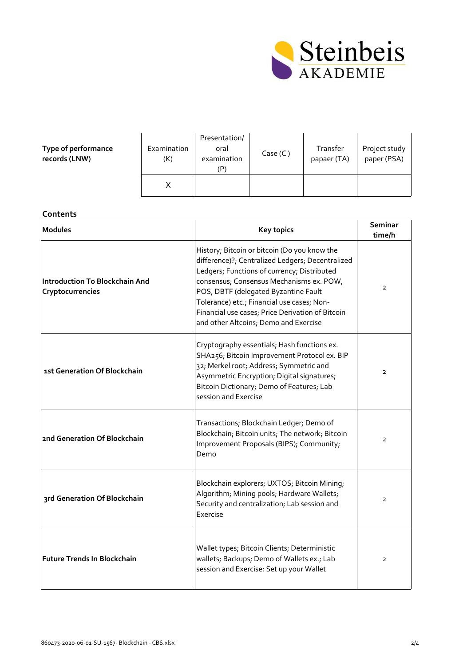

**Type of performance records (LNW)**

| Examination<br>(K) | Presentation/<br>oral<br>examination<br>(P) | Case (C) | Transfer<br>papaer (TA) | Project study<br>paper (PSA) |
|--------------------|---------------------------------------------|----------|-------------------------|------------------------------|
|                    |                                             |          |                         |                              |

## **Contents**

| <b>Modules</b>                                            | <b>Key topics</b>                                                                                                                                                                                                                                                                                                                                                              | <b>Seminar</b><br>time/h |
|-----------------------------------------------------------|--------------------------------------------------------------------------------------------------------------------------------------------------------------------------------------------------------------------------------------------------------------------------------------------------------------------------------------------------------------------------------|--------------------------|
| <b>Introduction To Blockchain And</b><br>Cryptocurrencies | History; Bitcoin or bitcoin (Do you know the<br>difference)?; Centralized Ledgers; Decentralized<br>Ledgers; Functions of currency; Distributed<br>consensus; Consensus Mechanisms ex. POW,<br>POS, DBTF (delegated Byzantine Fault<br>Tolerance) etc.; Financial use cases; Non-<br>Financial use cases; Price Derivation of Bitcoin<br>and other Altcoins; Demo and Exercise | $\overline{2}$           |
| 1st Generation Of Blockchain                              | Cryptography essentials; Hash functions ex.<br>SHA256; Bitcoin Improvement Protocol ex. BIP<br>32; Merkel root; Address; Symmetric and<br>Asymmetric Encryption; Digital signatures;<br>Bitcoin Dictionary; Demo of Features; Lab<br>session and Exercise                                                                                                                      | $\overline{2}$           |
| 2nd Generation Of Blockchain                              | Transactions; Blockchain Ledger; Demo of<br>Blockchain; Bitcoin units; The network; Bitcoin<br>Improvement Proposals (BIPS); Community;<br>Demo                                                                                                                                                                                                                                | $\overline{2}$           |
| 3rd Generation Of Blockchain                              | Blockchain explorers; UXTOS; Bitcoin Mining;<br>Algorithm; Mining pools; Hardware Wallets;<br>Security and centralization; Lab session and<br>Exercise                                                                                                                                                                                                                         | $\overline{2}$           |
| <b>Future Trends In Blockchain</b>                        | Wallet types; Bitcoin Clients; Deterministic<br>wallets; Backups; Demo of Wallets ex.; Lab<br>session and Exercise: Set up your Wallet                                                                                                                                                                                                                                         | $\overline{2}$           |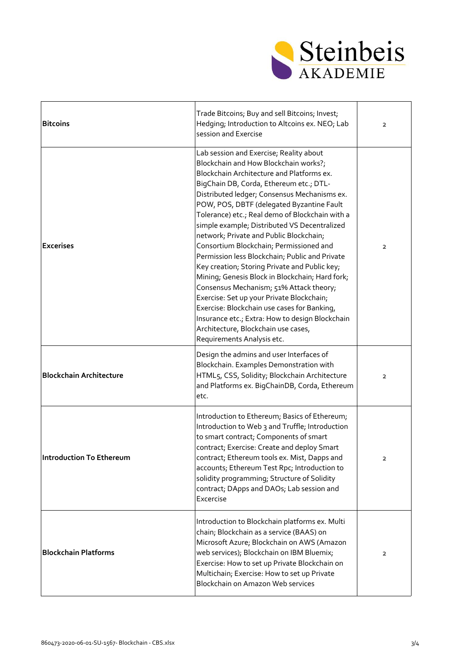

| <b>Bitcoins</b>                | Trade Bitcoins; Buy and sell Bitcoins; Invest;<br>Hedging; Introduction to Altcoins ex. NEO; Lab<br>session and Exercise                                                                                                                                                                                                                                                                                                                                                                                                                                                                                                                                                                                                                                                                                                                                                            | $\mathbf{2}$   |
|--------------------------------|-------------------------------------------------------------------------------------------------------------------------------------------------------------------------------------------------------------------------------------------------------------------------------------------------------------------------------------------------------------------------------------------------------------------------------------------------------------------------------------------------------------------------------------------------------------------------------------------------------------------------------------------------------------------------------------------------------------------------------------------------------------------------------------------------------------------------------------------------------------------------------------|----------------|
| <b>Excerises</b>               | Lab session and Exercise; Reality about<br>Blockchain and How Blockchain works?;<br>Blockchain Architecture and Platforms ex.<br>BigChain DB, Corda, Ethereum etc.; DTL-<br>Distributed ledger; Consensus Mechanisms ex.<br>POW, POS, DBTF (delegated Byzantine Fault<br>Tolerance) etc.; Real demo of Blockchain with a<br>simple example; Distributed VS Decentralized<br>network; Private and Public Blockchain;<br>Consortium Blockchain; Permissioned and<br>Permission less Blockchain; Public and Private<br>Key creation; Storing Private and Public key;<br>Mining; Genesis Block in Blockchain; Hard fork;<br>Consensus Mechanism; 51% Attack theory;<br>Exercise: Set up your Private Blockchain;<br>Exercise: Blockchain use cases for Banking,<br>Insurance etc.; Extra: How to design Blockchain<br>Architecture, Blockchain use cases,<br>Requirements Analysis etc. | $\mathbf{2}$   |
| <b>Blockchain Architecture</b> | Design the admins and user Interfaces of<br>Blockchain. Examples Demonstration with<br>HTML5, CSS, Solidity; Blockchain Architecture<br>and Platforms ex. BigChainDB, Corda, Ethereum<br>etc.                                                                                                                                                                                                                                                                                                                                                                                                                                                                                                                                                                                                                                                                                       | $\mathbf{2}$   |
| Introduction To Ethereum       | Introduction to Ethereum; Basics of Ethereum;<br>Introduction to Web 3 and Truffle; Introduction<br>to smart contract; Components of smart<br>contract; Exercise: Create and deploy Smart<br>contract; Ethereum tools ex. Mist, Dapps and<br>accounts; Ethereum Test Rpc; Introduction to<br>solidity programming; Structure of Solidity<br>contract; DApps and DAOs; Lab session and<br>Excercise                                                                                                                                                                                                                                                                                                                                                                                                                                                                                  | $\overline{2}$ |
| <b>Blockchain Platforms</b>    | Introduction to Blockchain platforms ex. Multi<br>chain; Blockchain as a service (BAAS) on<br>Microsoft Azure; Blockchain on AWS (Amazon<br>web services); Blockchain on IBM Bluemix;<br>Exercise: How to set up Private Blockchain on<br>Multichain; Exercise: How to set up Private<br>Blockchain on Amazon Web services                                                                                                                                                                                                                                                                                                                                                                                                                                                                                                                                                          | $\mathbf{2}$   |